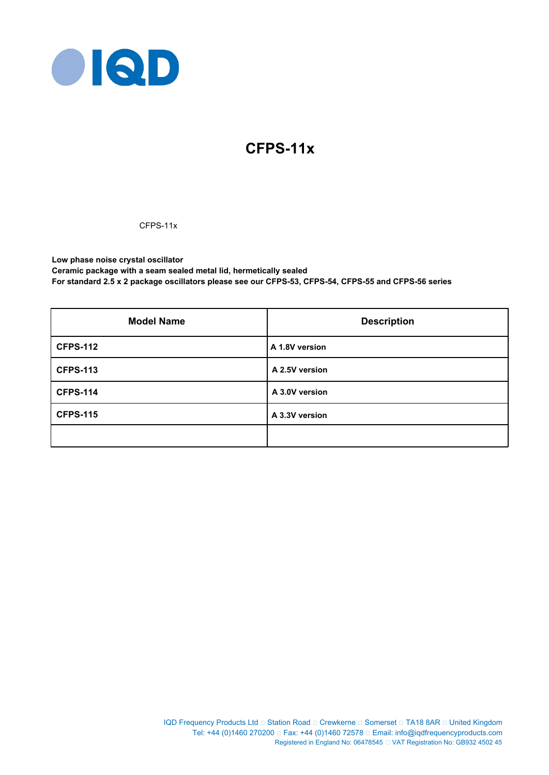

# **CFPS-11x**

# CFPS-11x

**Low phase noise crystal oscillator Ceramic package with a seam sealed metal lid, hermetically sealed For standard 2.5 x 2 package oscillators please see our CFPS-53, CFPS-54, CFPS-55 and CFPS-56 series**

| <b>Model Name</b> | <b>Description</b> |
|-------------------|--------------------|
| <b>CFPS-112</b>   | A 1.8V version     |
| <b>CFPS-113</b>   | A 2.5V version     |
| <b>CFPS-114</b>   | A 3.0V version     |
| <b>CFPS-115</b>   | A 3.3V version     |
|                   |                    |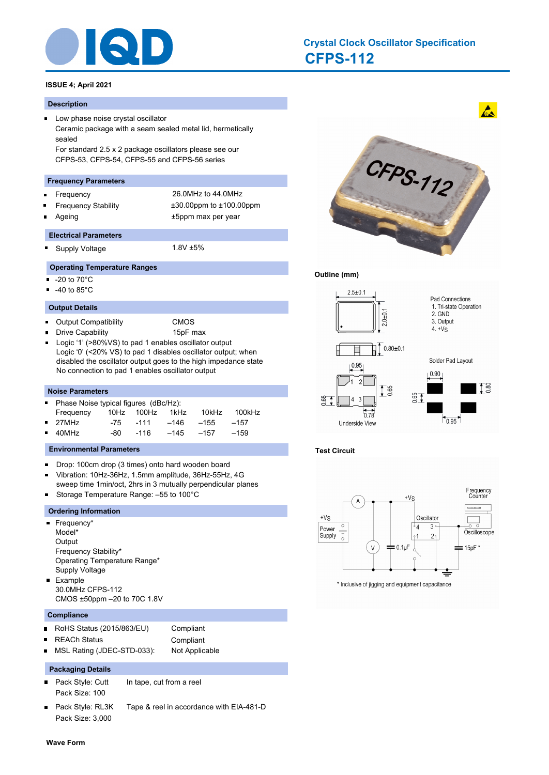

# **CFPS-112 Crystal Clock Oscillator Specification**

# **ISSUE 4; April 2021**

#### **Description**

**Low phase noise crystal oscillator** Ceramic package with a seam sealed metal lid, hermetically sealed For standard 2.5 x 2 package oscillators please see our CFPS-53, CFPS-54, CFPS-55 and CFPS-56 series

#### **Frequency Parameters**

- Frequency 26.0MHz to 44.0MHz  $\blacksquare$
- 
- Frequency Stability ±30.00ppm to ±100.00ppm Ageing the settlem of the settlem and the settlem and the settlem and the settlem and the settlem and the set

#### **Electrical Parameters**

 $\blacksquare$ Supply Voltage 1.8V ±5%

# **Operating Temperature Ranges**

- -20 to 70°C
- -40 to 85°C  $\blacksquare$

#### **Output Details**

 $\blacksquare$ Output Compatibility CMOS

Drive Capability 15pF max

Logic '1' (>80%VS) to pad 1 enables oscillator output Logic '0' (<20% VS) to pad 1 disables oscillator output; when disabled the oscillator output goes to the high impedance state No connection to pad 1 enables oscillator output

#### **Noise Parameters**

| • Phase Noise typical figures (dBc/Hz): |     |                 |           |       |        |  |  |
|-----------------------------------------|-----|-----------------|-----------|-------|--------|--|--|
| Frequency                               |     | 10Hz 100Hz 1kHz |           | 10kHz | 100kHz |  |  |
| $\blacksquare$ 27MHz                    |     | -75 -111        | –146      | -155  | $-157$ |  |  |
| $-40MHz$                                | -80 | -116            | –145 –157 |       | $-159$ |  |  |

#### **Environmental Parameters**

- Drop: 100cm drop (3 times) onto hard wooden board  $\blacksquare$
- Vibration: 10Hz-36Hz, 1.5mm amplitude, 36Hz-55Hz, 4G  $\blacksquare$ sweep time 1min/oct, 2hrs in 3 mutually perpendicular planes
- Storage Temperature Range: –55 to 100°C  $\blacksquare$

### **Ordering Information**

- Frequency\* Model\* **Output** Frequency Stability\* Operating Temperature Range\* Supply Voltage **Example** 30.0MHz CFPS-112
	- CMOS ±50ppm –20 to 70C 1.8V

#### **Compliance**

- $\blacksquare$ RoHS Status (2015/863/EU) Compliant
- REACh Status **Compliant**  $\blacksquare$

- 
- MSL Rating (JDEC-STD-033): Not Applicable

### **Packaging Details**

- Pack Style: Cutt In tape, cut from a reel Pack Size: 100
	-
- $\blacksquare$ Pack Style: RL3K Tape & reel in accordance with EIA-481-D Pack Size: 3,000



 $\mathbf{A}$ 

#### **Outline (mm)**



### **Test Circuit**



\* Inclusive of jigging and equipment capacitance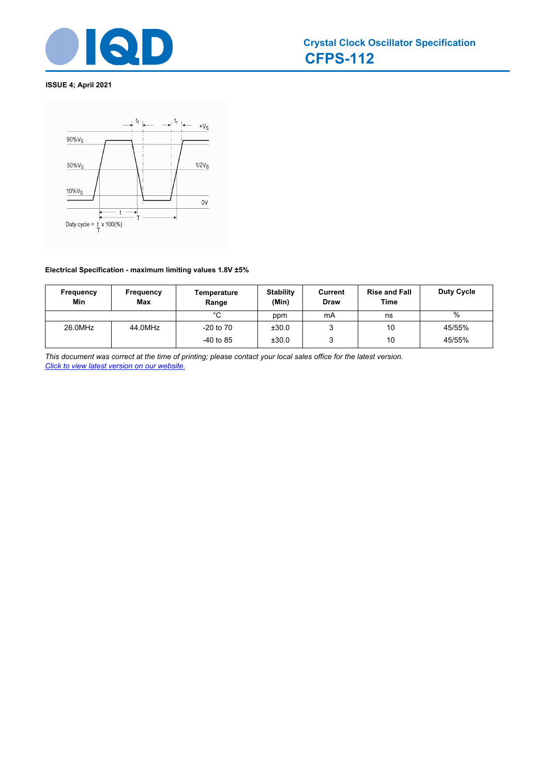



# **Electrical Specification - maximum limiting values 1.8V ±5%**

| Frequency<br>Min | Frequency<br>Max | Temperature<br>Range | <b>Stability</b><br>(Min) | Current<br><b>Draw</b> | <b>Rise and Fall</b><br><b>Time</b> | <b>Duty Cycle</b> |
|------------------|------------------|----------------------|---------------------------|------------------------|-------------------------------------|-------------------|
|                  |                  | $^{\circ}$ C         | ppm                       | mA                     | ns                                  | $\%$              |
| 26.0MHz          | 44.0MHz          | $-20$ to $70$        | ±30.0                     |                        | 10                                  | 45/55%            |
|                  |                  | $-40$ to 85          | ±30.0                     | 2                      | 10                                  | 45/55%            |

*This document was correct at the time of printing; please contact your local sales office for the latest version. Click to view latest version on our website.*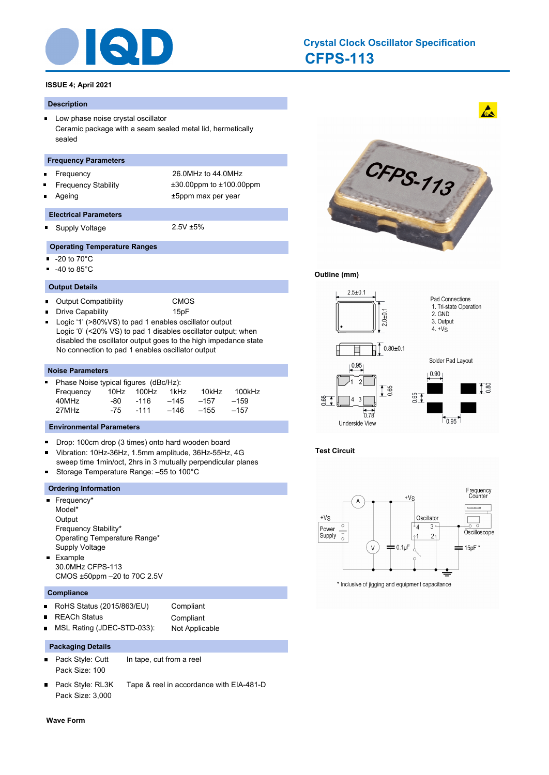

# **CFPS-113 Crystal Clock Oscillator Specification**

# **ISSUE 4; April 2021**

#### **Description**

**Low phase noise crystal oscillator** Ceramic package with a seam sealed metal lid, hermetically sealed

#### **Frequency Parameters**

- Frequency 26.0MHz to 44.0MHz
- Frequency Stability ±30.00ppm to ±100.00ppm
- Ageing the top that the series of the series of the top of the top that the top that the top that the top that the top that the top that the top that the top that the top that the top that the top that the top that the top

#### **Electrical Parameters**

 $\blacksquare$ Supply Voltage 2.5V ±5%

- **Operating Temperature Ranges**
- -20 to 70°C
- -40 to 85°C  $\blacksquare$

#### **Output Details**

- Output Compatibility CMOS  $\blacksquare$
- Drive Capability 15pF
- Logic '1' (>80%VS) to pad 1 enables oscillator output  $\blacksquare$ Logic '0' (<20% VS) to pad 1 disables oscillator output; when disabled the oscillator output goes to the high impedance state No connection to pad 1 enables oscillator output

#### **Noise Parameters**

| ■ Phase Noise typical figures (dBc/Hz): |     |      |        |                 |        |  |  |  |
|-----------------------------------------|-----|------|--------|-----------------|--------|--|--|--|
| Frequency                               |     |      |        | 10kHz           | 100kHz |  |  |  |
| 40MHz                                   | -80 | -116 | $-145$ | $-157$          | $-159$ |  |  |  |
| 27MHz                                   | -75 | -111 | –146   | $-155$          | $-157$ |  |  |  |
|                                         |     |      |        | 10Hz 100Hz 1kHz |        |  |  |  |

#### **Environmental Parameters**

- Drop: 100cm drop (3 times) onto hard wooden board  $\blacksquare$
- Vibration: 10Hz-36Hz, 1.5mm amplitude, 36Hz-55Hz, 4G  $\blacksquare$ sweep time 1min/oct, 2hrs in 3 mutually perpendicular planes Ξ
- Storage Temperature Range: –55 to 100°C

## **Ordering Information**

- Frequency\* Model\* **Output** Frequency Stability\* Operating Temperature Range\* Supply Voltage **Example** 30.0MHz CFPS-113
	- CMOS ±50ppm –20 to 70C 2.5V

## **Compliance**

 $\blacksquare$ 

- RoHS Status (2015/863/EU) Compliant  $\blacksquare$ 
	- REACh Status **Compliant**
- MSL Rating (JDEC-STD-033): Not Applicable  $\blacksquare$

#### **Packaging Details**

- Pack Style: Cutt In tape, cut from a reel  $\blacksquare$ Pack Size: 100
- Pack Style: RL3K Tape & reel in accordance with EIA-481-D Pack Size: 3,000



 $\mathbf{A}$ 

# **Outline (mm)**



### **Test Circuit**



\* Inclusive of jigging and equipment capacitance

**Wave Form**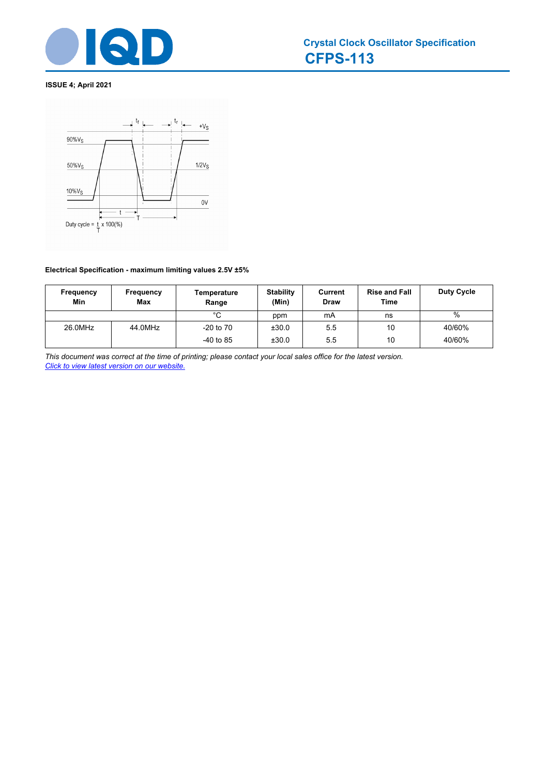



# **Electrical Specification - maximum limiting values 2.5V ±5%**

| Frequency<br>Min | Frequency<br><b>Max</b> | Temperature<br>Range | <b>Stability</b><br>(Min) | Current<br><b>Draw</b> | <b>Rise and Fall</b><br>Time | <b>Duty Cycle</b> |
|------------------|-------------------------|----------------------|---------------------------|------------------------|------------------------------|-------------------|
|                  |                         | °C                   | ppm                       | mA                     | ns                           | %                 |
| 26.0MHz          | 44.0MHz                 | $-20$ to $70$        | ±30.0                     | 5.5                    | 10                           | 40/60%            |
|                  |                         | $-40$ to 85          | ±30.0                     | 5.5                    | 10                           | 40/60%            |

*This document was correct at the time of printing; please contact your local sales office for the latest version. Click to view latest version on our website.*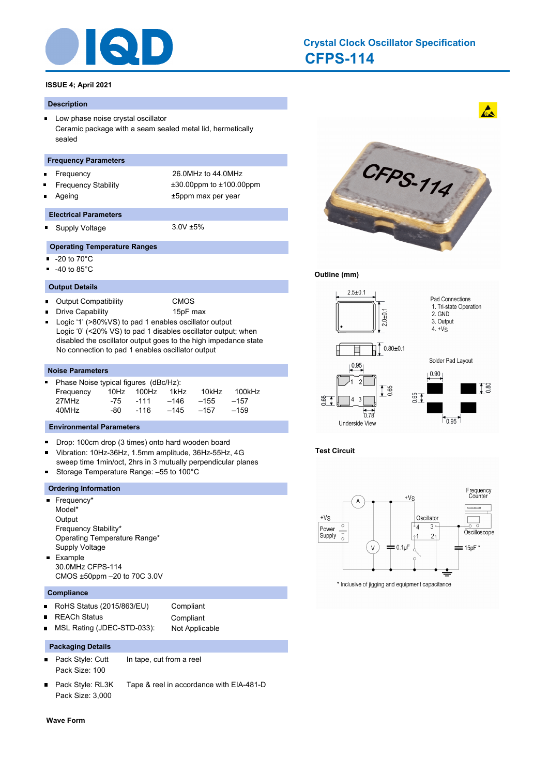

# **CFPS-114 Crystal Clock Oscillator Specification**

# **ISSUE 4; April 2021**

## **Description**

**Low phase noise crystal oscillator** Ceramic package with a seam sealed metal lid, hermetically sealed

## **Frequency Parameters**

- Frequency 26.0MHz to 44.0MHz
- Frequency Stability ±30.00ppm to ±100.00ppm
- Ageing the top that the series of the series of the top of the top that the top that the top that the top that the top that the top that the top that the top that the top that the top that the top that the top that the top

# **Electrical Parameters**

 $\blacksquare$ Supply Voltage 3.0V ±5%

- **Operating Temperature Ranges**
- -20 to 70°C
- -40 to 85°C  $\blacksquare$

# **Output Details**

- Output Compatibility CMOS  $\blacksquare$
- Drive Capability **15pF** max
- Logic '1' (>80%VS) to pad 1 enables oscillator output  $\blacksquare$ Logic '0' (<20% VS) to pad 1 disables oscillator output; when disabled the oscillator output goes to the high impedance state No connection to pad 1 enables oscillator output

# **Noise Parameters**

| Phase Noise typical figures (dBc/Hz):<br>a s |      |      |            |        |        |  |  |  |
|----------------------------------------------|------|------|------------|--------|--------|--|--|--|
| Frequency                                    |      |      | 1kHz       | 10kHz  | 100kHz |  |  |  |
| 27MHz                                        | -75  | -111 | –146       | $-155$ | $-157$ |  |  |  |
| 40MHz                                        | -80. | -116 | $-145$     | $-157$ | $-159$ |  |  |  |
|                                              |      |      | 10Hz 100Hz |        |        |  |  |  |

# **Environmental Parameters**

- Drop: 100cm drop (3 times) onto hard wooden board  $\blacksquare$
- Vibration: 10Hz-36Hz, 1.5mm amplitude, 36Hz-55Hz, 4G  $\blacksquare$ sweep time 1min/oct, 2hrs in 3 mutually perpendicular planes Storage Temperature Range: –55 to 100°C Ξ

# **Ordering Information**

- Frequency\* Model\* **Output** Frequency Stability\* Operating Temperature Range\* Supply Voltage **Example** 30.0MHz CFPS-114
	- CMOS ±50ppm –20 to 70C 3.0V

# **Compliance**

 $\blacksquare$ 

- RoHS Status (2015/863/EU) Compliant  $\blacksquare$ 
	- REACh Status **Compliant**
- MSL Rating (JDEC-STD-033): Not Applicable  $\blacksquare$

# **Packaging Details**

- Pack Style: Cutt In tape, cut from a reel  $\blacksquare$ Pack Size: 100
- Pack Style: RL3K Tape & reel in accordance with EIA-481-D Pack Size: 3,000



 $\mathbf{A}$ 

# **Outline (mm)**



# **Test Circuit**



\* Inclusive of jigging and equipment capacitance

**Wave Form**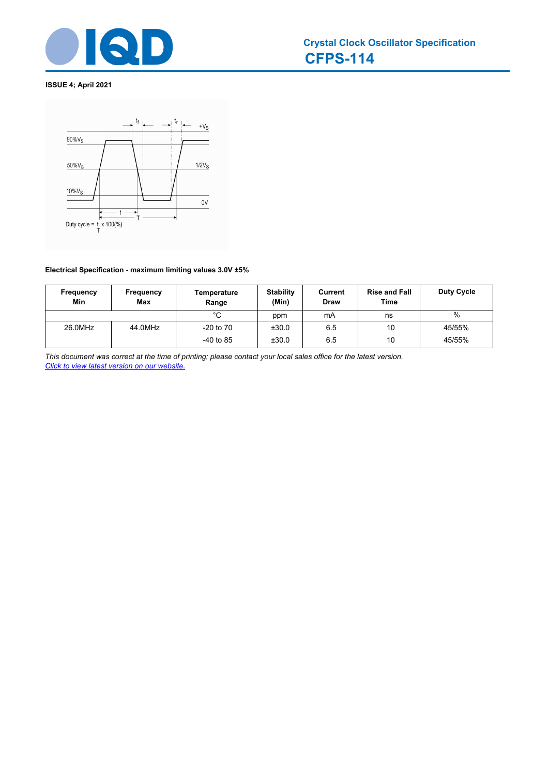



# **Electrical Specification - maximum limiting values 3.0V ±5%**

| Frequency<br>Min | Frequency<br>Max | Temperature<br>Range | <b>Stability</b><br>(Min) | Current<br><b>Draw</b> | <b>Rise and Fall</b><br><b>Time</b> | <b>Duty Cycle</b> |
|------------------|------------------|----------------------|---------------------------|------------------------|-------------------------------------|-------------------|
|                  |                  | $^{\circ}$ C         | ppm                       | mA                     | ns                                  | $\%$              |
| 26.0MHz          | 44.0MHz          | $-20$ to $70$        | ±30.0                     | 6.5                    | 10                                  | 45/55%            |
|                  |                  | $-40$ to 85          | ±30.0                     | 6.5                    | 10                                  | 45/55%            |

*This document was correct at the time of printing; please contact your local sales office for the latest version. Click to view latest version on our website.*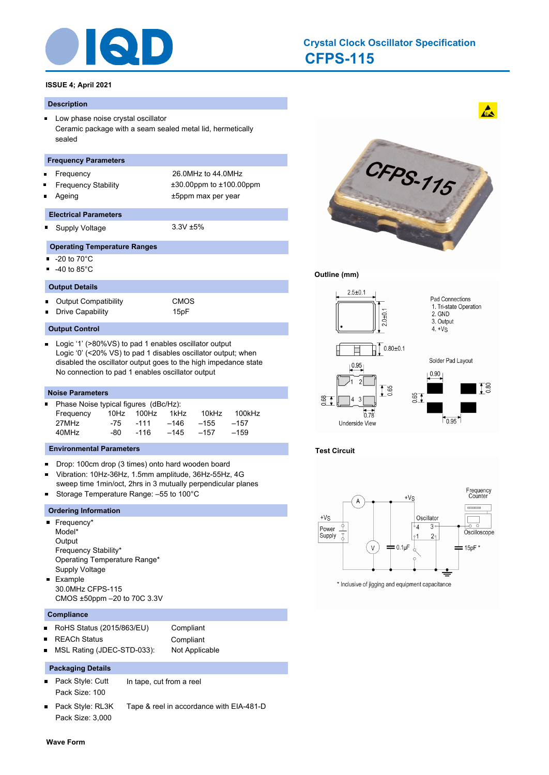

# **CFPS-115 Crystal Clock Oscillator Specification**

# **ISSUE 4; April 2021**

#### **Description**

**Low phase noise crystal oscillator** Ceramic package with a seam sealed metal lid, hermetically sealed

#### **Frequency Parameters**

- Frequency 26.0MHz to 44.0MHz
- Frequency Stability ±30.00ppm to ±100.00ppm
- Ageing the top that the series of the series of the top of the top that the top that the top that the top that the top that the top that the top that the top that the top that the top that the top that the top that the top

#### **Electrical Parameters**

Supply Voltage 3.3V ±5% n.

- **Operating Temperature Ranges**
- -20 to 70°C
- -40 to 85°C

#### **Output Details**

Output Compatibility CMOS  $\blacksquare$ Drive Capability 15pF

#### **Output Control**

 $\blacksquare$ Logic '1' (>80%VS) to pad 1 enables oscillator output Logic '0' (<20% VS) to pad 1 disables oscillator output; when disabled the oscillator output goes to the high impedance state No connection to pad 1 enables oscillator output

#### **Noise Parameters**

| П | Phase Noise typical figures (dBc/Hz): |      |        |        |        |        |  |  |
|---|---------------------------------------|------|--------|--------|--------|--------|--|--|
|   | Frequency                             | 10Hz | 100Hz  | 1kHz   | 10kHz  | 100kHz |  |  |
|   | 27MHz                                 | -75  | -111   | -146   | $-155$ | $-157$ |  |  |
|   | 40MHz                                 | -80- | $-116$ | $-145$ | $-157$ | $-159$ |  |  |

#### **Environmental Parameters**

- $\blacksquare$ Drop: 100cm drop (3 times) onto hard wooden board
- Vibration: 10Hz-36Hz, 1.5mm amplitude, 36Hz-55Hz, 4G  $\blacksquare$ sweep time 1min/oct, 2hrs in 3 mutually perpendicular planes
- $\blacksquare$ Storage Temperature Range: –55 to 100°C

#### **Ordering Information**

**Frequency\*** Model\* **Output** Frequency Stability\* Operating Temperature Range\* Supply Voltage **Example** 30.0MHz CFPS-115 CMOS ±50ppm –20 to 70C 3.3V

#### **Compliance**

П

- RoHS Status (2015/863/EU) Compliant  $\blacksquare$
- REACh Status **Compliant**  $\blacksquare$

- 
- MSL Rating (JDEC-STD-033): Not Applicable

# **Packaging Details**

- Pack Style: Cutt In tape, cut from a reel  $\blacksquare$ Pack Size: 100
	-
- Pack Style: RL3K Tape & reel in accordance with EIA-481-D Pack Size: 3,000



 $\mathbf{A}$ 

# **Outline (mm)**



# **Test Circuit**